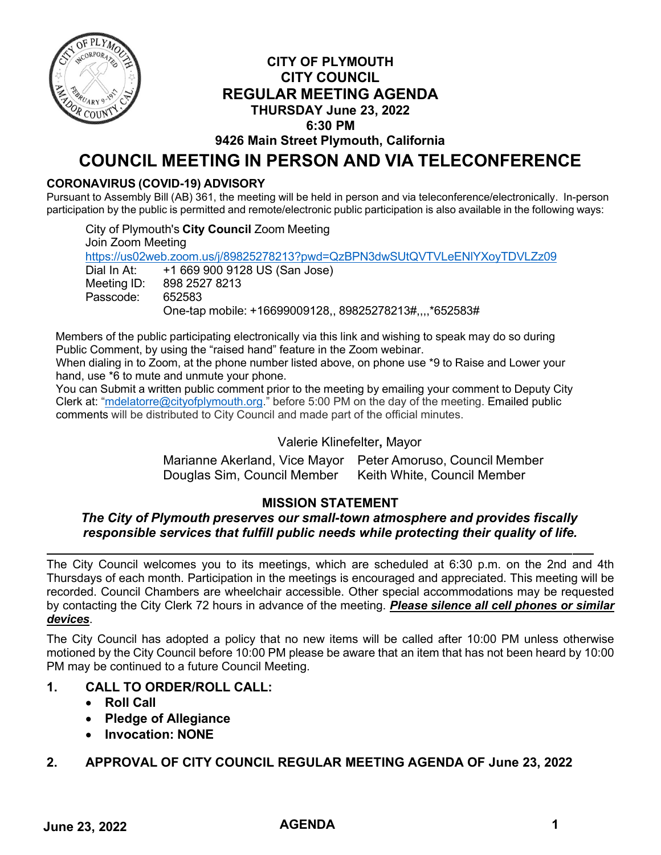

## **CITY OF PLYMOUTH CITY COUNCIL REGULAR MEETING AGENDA THURSDAY June 23, 2022 6:30 PM**

**9426 Main Street Plymouth, California**

# **COUNCIL MEETING IN PERSON AND VIA TELECONFERENCE**

## **CORONAVIRUS (COVID-19) ADVISORY**

Pursuant to Assembly Bill (AB) 361, the meeting will be held in person and via teleconference/electronically. In-person participation by the public is permitted and remote/electronic public participation is also available in the following ways:

City of Plymouth's **City Council** Zoom Meeting Join Zoom Meeting <https://us02web.zoom.us/j/89825278213?pwd=QzBPN3dwSUtQVTVLeENlYXoyTDVLZz09> Dial In At: +1 669 900 9128 US (San Jose) Meeting ID: 898 2527 8213 Passcode: 652583 One-tap mobile: +16699009128,, 89825278213#,,,,\*652583#

Members of the public participating electronically via this link and wishing to speak may do so during Public Comment, by using the "raised hand" feature in the Zoom webinar.

When dialing in to Zoom, at the phone number listed above, on phone use \*9 to Raise and Lower your hand, use \*6 to mute and unmute your phone.

You can Submit a written public comment prior to the meeting by emailing your comment to Deputy City Clerk at: ["mdelatorre@cityofplymouth.org.](mailto:mdelatorre@cityofplymouth.org)" before 5:00 PM on the day of the meeting. Emailed public comments will be distributed to City Council and made part of the official minutes.

## Valerie Klinefelter**,** Mayor

Marianne Akerland, Vice Mayor Peter Amoruso, Council Member Douglas Sim, Council Member Keith White, Council Member

## **MISSION STATEMENT**

#### *The City of Plymouth preserves our small-town atmosphere and provides fiscally responsible services that fulfill public needs while protecting their quality of life.*

The City Council welcomes you to its meetings, which are scheduled at 6:30 p.m. on the 2nd and 4th Thursdays of each month. Participation in the meetings is encouraged and appreciated. This meeting will be recorded. Council Chambers are wheelchair accessible. Other special accommodations may be requested by contacting the City Clerk 72 hours in advance of the meeting. *Please silence all cell phones or similar devices*.

The City Council has adopted a policy that no new items will be called after 10:00 PM unless otherwise motioned by the City Council before 10:00 PM please be aware that an item that has not been heard by 10:00 PM may be continued to a future Council Meeting.

## **1. CALL TO ORDER/ROLL CALL:**

- **Roll Call**
- **Pledge of Allegiance**
- **Invocation: NONE**

## **2. APPROVAL OF CITY COUNCIL REGULAR MEETING AGENDA OF June 23, 2022**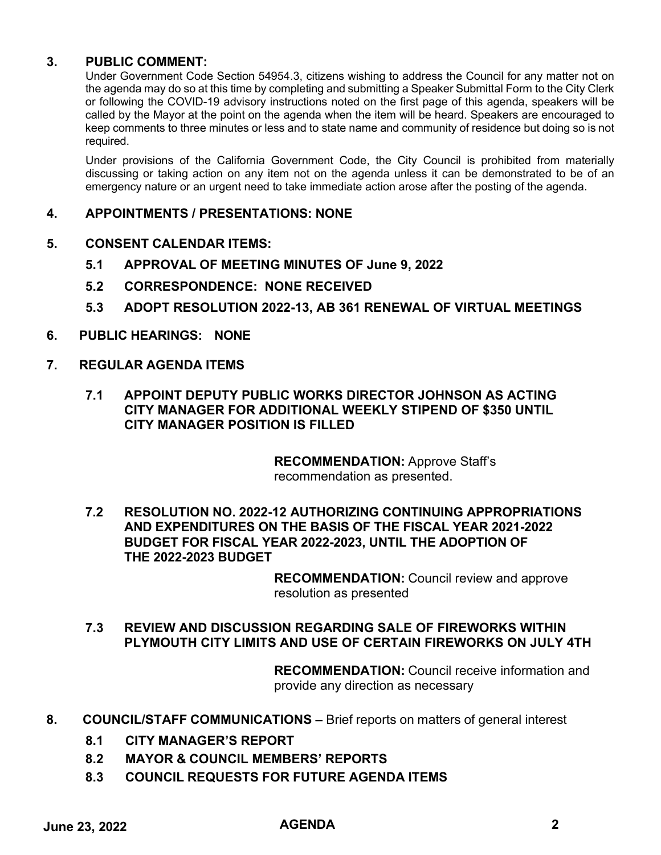#### **3. PUBLIC COMMENT:**

Under Government Code Section 54954.3, citizens wishing to address the Council for any matter not on the agenda may do so at this time by completing and submitting a Speaker Submittal Form to the City Clerk or following the COVID-19 advisory instructions noted on the first page of this agenda, speakers will be called by the Mayor at the point on the agenda when the item will be heard. Speakers are encouraged to keep comments to three minutes or less and to state name and community of residence but doing so is not required.

Under provisions of the California Government Code, the City Council is prohibited from materially discussing or taking action on any item not on the agenda unless it can be demonstrated to be of an emergency nature or an urgent need to take immediate action arose after the posting of the agenda.

#### **4. APPOINTMENTS / PRESENTATIONS: NONE**

#### **5. CONSENT CALENDAR ITEMS:**

- **5.1 APPROVAL OF MEETING MINUTES OF June 9, 2022**
- **5.2 CORRESPONDENCE: NONE RECEIVED**
- **5.3 ADOPT RESOLUTION 2022-13, AB 361 RENEWAL OF VIRTUAL MEETINGS**
- **6. PUBLIC HEARINGS: NONE**
- **7. REGULAR AGENDA ITEMS**
	- **7.1 APPOINT DEPUTY PUBLIC WORKS DIRECTOR JOHNSON AS ACTING CITY MANAGER FOR ADDITIONAL WEEKLY STIPEND OF \$350 UNTIL CITY MANAGER POSITION IS FILLED**

**RECOMMENDATION:** Approve Staff's recommendation as presented.

**7.2 RESOLUTION NO. 2022-12 AUTHORIZING CONTINUING APPROPRIATIONS AND EXPENDITURES ON THE BASIS OF THE FISCAL YEAR 2021-2022 BUDGET FOR FISCAL YEAR 2022-2023, UNTIL THE ADOPTION OF THE 2022-2023 BUDGET**

> **RECOMMENDATION:** Council review and approve resolution as presented

**7.3 REVIEW AND DISCUSSION REGARDING SALE OF FIREWORKS WITHIN PLYMOUTH CITY LIMITS AND USE OF CERTAIN FIREWORKS ON JULY 4TH**

> **RECOMMENDATION:** Council receive information and provide any direction as necessary

- **8. COUNCIL/STAFF COMMUNICATIONS –** Brief reports on matters of general interest
	- **8.1 CITY MANAGER'S REPORT**
	- **8.2 MAYOR & COUNCIL MEMBERS' REPORTS**
	- **8.3 COUNCIL REQUESTS FOR FUTURE AGENDA ITEMS**